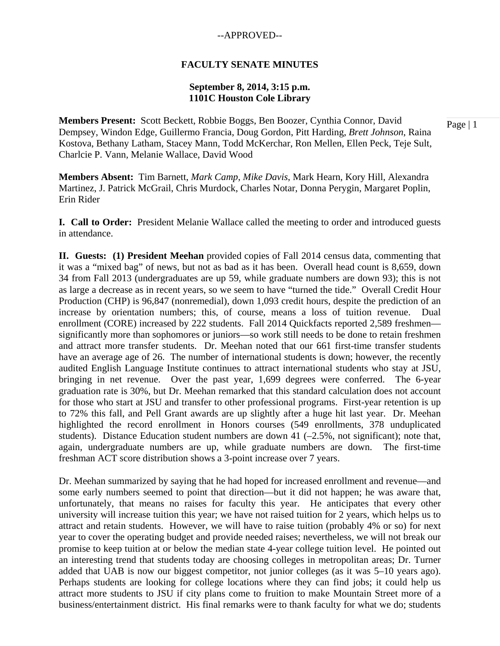#### **FACULTY SENATE MINUTES**

### **September 8, 2014, 3:15 p.m. 1101C Houston Cole Library**

**Members Present:** Scott Beckett, Robbie Boggs, Ben Boozer, Cynthia Connor, David Dempsey, Windon Edge, Guillermo Francia, Doug Gordon, Pitt Harding, *Brett Johnson*, Raina Kostova, Bethany Latham, Stacey Mann, Todd McKerchar, Ron Mellen, Ellen Peck, Teje Sult, Charlcie P. Vann*,* Melanie Wallace, David Wood

**Members Absent:** Tim Barnett, *Mark Camp*, *Mike Davis*, Mark Hearn, Kory Hill, Alexandra Martinez, J. Patrick McGrail, Chris Murdock, Charles Notar, Donna Perygin, Margaret Poplin, Erin Rider

**I. Call to Order:** President Melanie Wallace called the meeting to order and introduced guests in attendance.

**II. Guests: (1) President Meehan** provided copies of Fall 2014 census data, commenting that it was a "mixed bag" of news, but not as bad as it has been. Overall head count is 8,659, down 34 from Fall 2013 (undergraduates are up 59, while graduate numbers are down 93); this is not as large a decrease as in recent years, so we seem to have "turned the tide." Overall Credit Hour Production (CHP) is 96,847 (nonremedial), down 1,093 credit hours, despite the prediction of an increase by orientation numbers; this, of course, means a loss of tuition revenue. Dual enrollment (CORE) increased by 222 students. Fall 2014 Quickfacts reported 2,589 freshmen significantly more than sophomores or juniors—so work still needs to be done to retain freshmen and attract more transfer students. Dr. Meehan noted that our 661 first-time transfer students have an average age of 26. The number of international students is down; however, the recently audited English Language Institute continues to attract international students who stay at JSU, bringing in net revenue. Over the past year, 1,699 degrees were conferred. The 6-year graduation rate is 30%, but Dr. Meehan remarked that this standard calculation does not account for those who start at JSU and transfer to other professional programs. First-year retention is up to 72% this fall, and Pell Grant awards are up slightly after a huge hit last year. Dr. Meehan highlighted the record enrollment in Honors courses (549 enrollments, 378 unduplicated students). Distance Education student numbers are down 41  $(-2.5\%$ , not significant); note that, again, undergraduate numbers are up, while graduate numbers are down. The first-time freshman ACT score distribution shows a 3-point increase over 7 years.

Dr. Meehan summarized by saying that he had hoped for increased enrollment and revenue—and some early numbers seemed to point that direction—but it did not happen; he was aware that, unfortunately, that means no raises for faculty this year. He anticipates that every other university will increase tuition this year; we have not raised tuition for 2 years, which helps us to attract and retain students. However, we will have to raise tuition (probably 4% or so) for next year to cover the operating budget and provide needed raises; nevertheless, we will not break our promise to keep tuition at or below the median state 4-year college tuition level. He pointed out an interesting trend that students today are choosing colleges in metropolitan areas; Dr. Turner added that UAB is now our biggest competitor, not junior colleges (as it was 5–10 years ago). Perhaps students are looking for college locations where they can find jobs; it could help us attract more students to JSU if city plans come to fruition to make Mountain Street more of a business/entertainment district. His final remarks were to thank faculty for what we do; students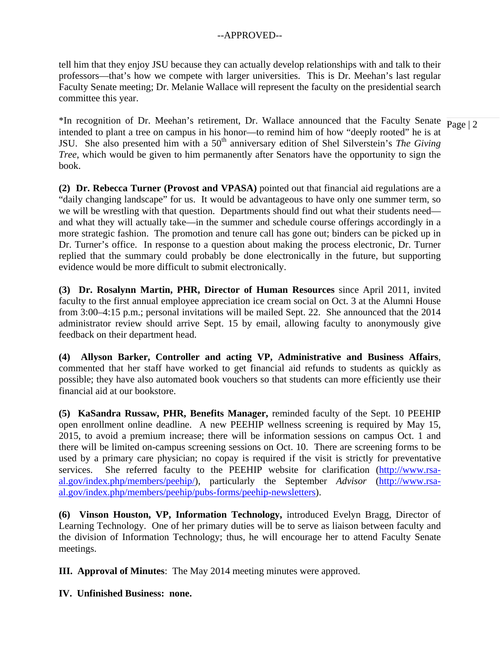tell him that they enjoy JSU because they can actually develop relationships with and talk to their professors—that's how we compete with larger universities. This is Dr. Meehan's last regular Faculty Senate meeting; Dr. Melanie Wallace will represent the faculty on the presidential search committee this year.

\*In recognition of Dr. Meehan's retirement, Dr. Wallace announced that the Faculty Senate  $\frac{1}{\text{Page } |2}$ intended to plant a tree on campus in his honor—to remind him of how "deeply rooted" he is at JSU. She also presented him with a 50th anniversary edition of Shel Silverstein's *The Giving Tree*, which would be given to him permanently after Senators have the opportunity to sign the book.

**(2) Dr. Rebecca Turner (Provost and VPASA)** pointed out that financial aid regulations are a "daily changing landscape" for us. It would be advantageous to have only one summer term, so we will be wrestling with that question. Departments should find out what their students need and what they will actually take—in the summer and schedule course offerings accordingly in a more strategic fashion. The promotion and tenure call has gone out; binders can be picked up in Dr. Turner's office. In response to a question about making the process electronic, Dr. Turner replied that the summary could probably be done electronically in the future, but supporting evidence would be more difficult to submit electronically.

**(3) Dr. Rosalynn Martin, PHR, Director of Human Resources** since April 2011, invited faculty to the first annual employee appreciation ice cream social on Oct. 3 at the Alumni House from 3:00–4:15 p.m.; personal invitations will be mailed Sept. 22. She announced that the 2014 administrator review should arrive Sept. 15 by email, allowing faculty to anonymously give feedback on their department head.

**(4) Allyson Barker, Controller and acting VP, Administrative and Business Affairs**, commented that her staff have worked to get financial aid refunds to students as quickly as possible; they have also automated book vouchers so that students can more efficiently use their financial aid at our bookstore.

**(5) KaSandra Russaw, PHR, Benefits Manager,** reminded faculty of the Sept. 10 PEEHIP open enrollment online deadline. A new PEEHIP wellness screening is required by May 15, 2015, to avoid a premium increase; there will be information sessions on campus Oct. 1 and there will be limited on-campus screening sessions on Oct. 10. There are screening forms to be used by a primary care physician; no copay is required if the visit is strictly for preventative services. She referred faculty to the PEEHIP website for clarification (http://www.rsaal.gov/index.php/members/peehip/), particularly the September *Advisor* (http://www.rsaal.gov/index.php/members/peehip/pubs-forms/peehip-newsletters).

**(6) Vinson Houston, VP, Information Technology,** introduced Evelyn Bragg, Director of Learning Technology. One of her primary duties will be to serve as liaison between faculty and the division of Information Technology; thus, he will encourage her to attend Faculty Senate meetings.

**III. Approval of Minutes**: The May 2014 meeting minutes were approved.

**IV. Unfinished Business: none.**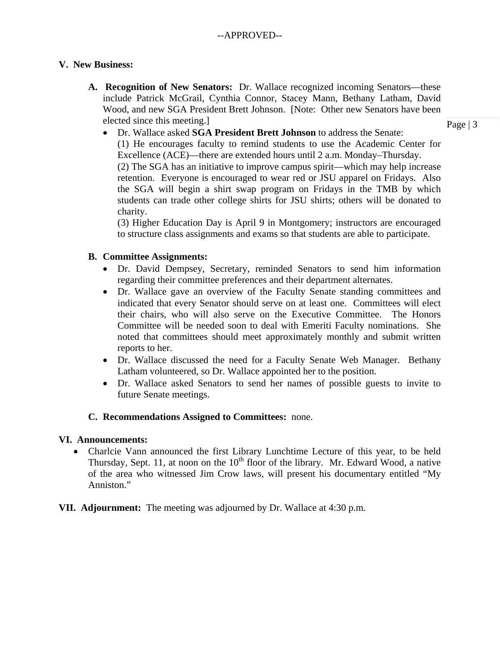## **V. New Business:**

- **A. Recognition of New Senators:** Dr. Wallace recognized incoming Senators—these include Patrick McGrail, Cynthia Connor, Stacey Mann, Bethany Latham, David Wood, and new SGA President Brett Johnson. [Note: Other new Senators have been elected since this meeting.]
	- Dr. Wallace asked **SGA President Brett Johnson** to address the Senate:

(1) He encourages faculty to remind students to use the Academic Center for Excellence (ACE)—there are extended hours until 2 a.m. Monday–Thursday. (2) The SGA has an initiative to improve campus spirit—which may help increase retention. Everyone is encouraged to wear red or JSU apparel on Fridays. Also the SGA will begin a shirt swap program on Fridays in the TMB by which students can trade other college shirts for JSU shirts; others will be donated to charity.

(3) Higher Education Day is April 9 in Montgomery; instructors are encouraged to structure class assignments and exams so that students are able to participate.

## **B. Committee Assignments:**

- Dr. David Dempsey, Secretary, reminded Senators to send him information regarding their committee preferences and their department alternates.
- Dr. Wallace gave an overview of the Faculty Senate standing committees and indicated that every Senator should serve on at least one. Committees will elect their chairs, who will also serve on the Executive Committee. The Honors Committee will be needed soon to deal with Emeriti Faculty nominations. She noted that committees should meet approximately monthly and submit written reports to her.
- Dr. Wallace discussed the need for a Faculty Senate Web Manager. Bethany Latham volunteered, so Dr. Wallace appointed her to the position.
- Dr. Wallace asked Senators to send her names of possible guests to invite to future Senate meetings.

## **C. Recommendations Assigned to Committees:** none.

## **VI. Announcements:**

- Charlcie Vann announced the first Library Lunchtime Lecture of this year, to be held Thursday, Sept. 11, at noon on the  $10<sup>th</sup>$  floor of the library. Mr. Edward Wood, a native of the area who witnessed Jim Crow laws, will present his documentary entitled "My Anniston."
- **VII. Adjournment:** The meeting was adjourned by Dr. Wallace at 4:30 p.m.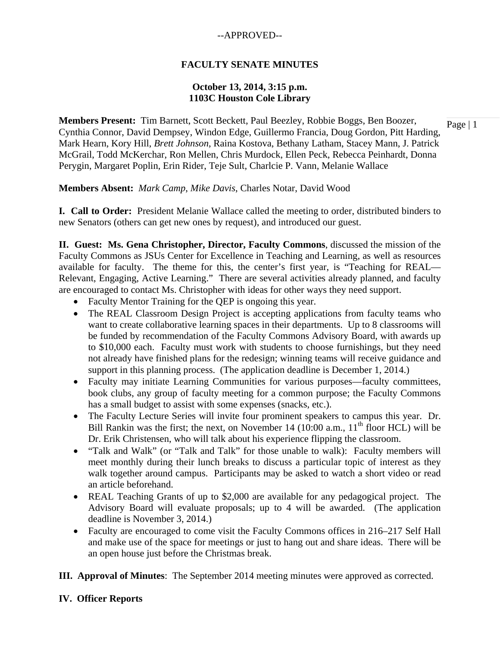## **FACULTY SENATE MINUTES**

### **October 13, 2014, 3:15 p.m. 1103C Houston Cole Library**

**Members Present:** Tim Barnett, Scott Beckett, Paul Beezley, Robbie Boggs, Ben Boozer, Cynthia Connor, David Dempsey, Windon Edge, Guillermo Francia, Doug Gordon, Pitt Harding, Mark Hearn, Kory Hill, *Brett Johnson*, Raina Kostova, Bethany Latham, Stacey Mann, J. Patrick McGrail, Todd McKerchar, Ron Mellen, Chris Murdock, Ellen Peck, Rebecca Peinhardt, Donna Perygin, Margaret Poplin, Erin Rider, Teje Sult, Charlcie P. Vann*,* Melanie Wallace

**Members Absent:** *Mark Camp*, *Mike Davis*, Charles Notar, David Wood

**I. Call to Order:** President Melanie Wallace called the meeting to order, distributed binders to new Senators (others can get new ones by request), and introduced our guest.

**II. Guest: Ms. Gena Christopher, Director, Faculty Commons**, discussed the mission of the Faculty Commons as JSUs Center for Excellence in Teaching and Learning, as well as resources available for faculty. The theme for this, the center's first year, is "Teaching for REAL— Relevant, Engaging, Active Learning." There are several activities already planned, and faculty are encouraged to contact Ms. Christopher with ideas for other ways they need support.

- Faculty Mentor Training for the OEP is ongoing this year.
- The REAL Classroom Design Project is accepting applications from faculty teams who want to create collaborative learning spaces in their departments. Up to 8 classrooms will be funded by recommendation of the Faculty Commons Advisory Board, with awards up to \$10,000 each. Faculty must work with students to choose furnishings, but they need not already have finished plans for the redesign; winning teams will receive guidance and support in this planning process. (The application deadline is December 1, 2014.)
- Faculty may initiate Learning Communities for various purposes—faculty committees, book clubs, any group of faculty meeting for a common purpose; the Faculty Commons has a small budget to assist with some expenses (snacks, etc.).
- The Faculty Lecture Series will invite four prominent speakers to campus this year. Dr. Bill Rankin was the first; the next, on November 14 (10:00 a.m.,  $11<sup>th</sup>$  floor HCL) will be Dr. Erik Christensen, who will talk about his experience flipping the classroom.
- "Talk and Walk" (or "Talk and Talk" for those unable to walk): Faculty members will meet monthly during their lunch breaks to discuss a particular topic of interest as they walk together around campus. Participants may be asked to watch a short video or read an article beforehand.
- REAL Teaching Grants of up to \$2,000 are available for any pedagogical project. The Advisory Board will evaluate proposals; up to 4 will be awarded. (The application deadline is November 3, 2014.)
- Faculty are encouraged to come visit the Faculty Commons offices in 216–217 Self Hall and make use of the space for meetings or just to hang out and share ideas. There will be an open house just before the Christmas break.
- **III. Approval of Minutes**: The September 2014 meeting minutes were approved as corrected.

### **IV. Officer Reports**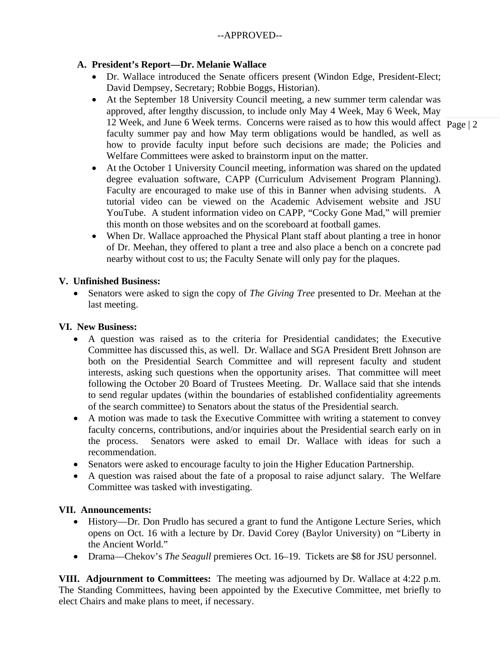# **A. President's Report—Dr. Melanie Wallace**

- Dr. Wallace introduced the Senate officers present (Windon Edge, President-Elect; David Dempsey, Secretary; Robbie Boggs, Historian).
- 12 Week, and June 6 Week terms. Concerns were raised as to how this would affect  $\frac{1}{\text{Page}} | 2$  At the September 18 University Council meeting, a new summer term calendar was approved, after lengthy discussion, to include only May 4 Week, May 6 Week, May faculty summer pay and how May term obligations would be handled, as well as how to provide faculty input before such decisions are made; the Policies and Welfare Committees were asked to brainstorm input on the matter.
- At the October 1 University Council meeting, information was shared on the updated degree evaluation software, CAPP (Curriculum Advisement Program Planning). Faculty are encouraged to make use of this in Banner when advising students. A tutorial video can be viewed on the Academic Advisement website and JSU YouTube. A student information video on CAPP, "Cocky Gone Mad," will premier this month on those websites and on the scoreboard at football games.
- When Dr. Wallace approached the Physical Plant staff about planting a tree in honor of Dr. Meehan, they offered to plant a tree and also place a bench on a concrete pad nearby without cost to us; the Faculty Senate will only pay for the plaques.

# **V. Unfinished Business:**

 Senators were asked to sign the copy of *The Giving Tree* presented to Dr. Meehan at the last meeting.

# **VI. New Business:**

- A question was raised as to the criteria for Presidential candidates; the Executive Committee has discussed this, as well. Dr. Wallace and SGA President Brett Johnson are both on the Presidential Search Committee and will represent faculty and student interests, asking such questions when the opportunity arises. That committee will meet following the October 20 Board of Trustees Meeting. Dr. Wallace said that she intends to send regular updates (within the boundaries of established confidentiality agreements of the search committee) to Senators about the status of the Presidential search.
- A motion was made to task the Executive Committee with writing a statement to convey faculty concerns, contributions, and/or inquiries about the Presidential search early on in the process. Senators were asked to email Dr. Wallace with ideas for such a recommendation.
- Senators were asked to encourage faculty to join the Higher Education Partnership.
- A question was raised about the fate of a proposal to raise adjunct salary. The Welfare Committee was tasked with investigating.

# **VII. Announcements:**

- History—Dr. Don Prudlo has secured a grant to fund the Antigone Lecture Series, which opens on Oct. 16 with a lecture by Dr. David Corey (Baylor University) on "Liberty in the Ancient World."
- Drama—Chekov's *The Seagull* premieres Oct. 16–19. Tickets are \$8 for JSU personnel.

**VIII. Adjournment to Committees:** The meeting was adjourned by Dr. Wallace at 4:22 p.m. The Standing Committees, having been appointed by the Executive Committee, met briefly to elect Chairs and make plans to meet, if necessary.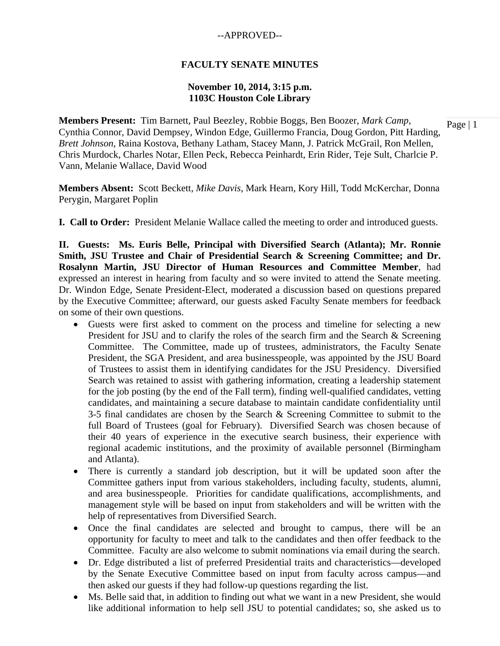### **FACULTY SENATE MINUTES**

### **November 10, 2014, 3:15 p.m. 1103C Houston Cole Library**

**Members Present:** Tim Barnett, Paul Beezley, Robbie Boggs, Ben Boozer, *Mark Camp*, Cynthia Connor, David Dempsey, Windon Edge, Guillermo Francia, Doug Gordon, Pitt Harding, *Brett Johnson*, Raina Kostova, Bethany Latham, Stacey Mann, J. Patrick McGrail, Ron Mellen, Chris Murdock, Charles Notar, Ellen Peck, Rebecca Peinhardt, Erin Rider, Teje Sult, Charlcie P. Vann*,* Melanie Wallace, David Wood

**Members Absent:** Scott Beckett, *Mike Davis*, Mark Hearn, Kory Hill, Todd McKerchar, Donna Perygin, Margaret Poplin

**I. Call to Order:** President Melanie Wallace called the meeting to order and introduced guests.

**II. Guests: Ms. Euris Belle, Principal with Diversified Search (Atlanta); Mr. Ronnie Smith, JSU Trustee and Chair of Presidential Search & Screening Committee; and Dr. Rosalynn Martin, JSU Director of Human Resources and Committee Member**, had expressed an interest in hearing from faculty and so were invited to attend the Senate meeting. Dr. Windon Edge, Senate President-Elect, moderated a discussion based on questions prepared by the Executive Committee; afterward, our guests asked Faculty Senate members for feedback on some of their own questions.

- Guests were first asked to comment on the process and timeline for selecting a new President for JSU and to clarify the roles of the search firm and the Search & Screening Committee. The Committee, made up of trustees, administrators, the Faculty Senate President, the SGA President, and area businesspeople, was appointed by the JSU Board of Trustees to assist them in identifying candidates for the JSU Presidency. Diversified Search was retained to assist with gathering information, creating a leadership statement for the job posting (by the end of the Fall term), finding well-qualified candidates, vetting candidates, and maintaining a secure database to maintain candidate confidentiality until 3-5 final candidates are chosen by the Search & Screening Committee to submit to the full Board of Trustees (goal for February). Diversified Search was chosen because of their 40 years of experience in the executive search business, their experience with regional academic institutions, and the proximity of available personnel (Birmingham and Atlanta).
- There is currently a standard job description, but it will be updated soon after the Committee gathers input from various stakeholders, including faculty, students, alumni, and area businesspeople. Priorities for candidate qualifications, accomplishments, and management style will be based on input from stakeholders and will be written with the help of representatives from Diversified Search.
- Once the final candidates are selected and brought to campus, there will be an opportunity for faculty to meet and talk to the candidates and then offer feedback to the Committee. Faculty are also welcome to submit nominations via email during the search.
- Dr. Edge distributed a list of preferred Presidential traits and characteristics—developed by the Senate Executive Committee based on input from faculty across campus—and then asked our guests if they had follow-up questions regarding the list.
- Ms. Belle said that, in addition to finding out what we want in a new President, she would like additional information to help sell JSU to potential candidates; so, she asked us to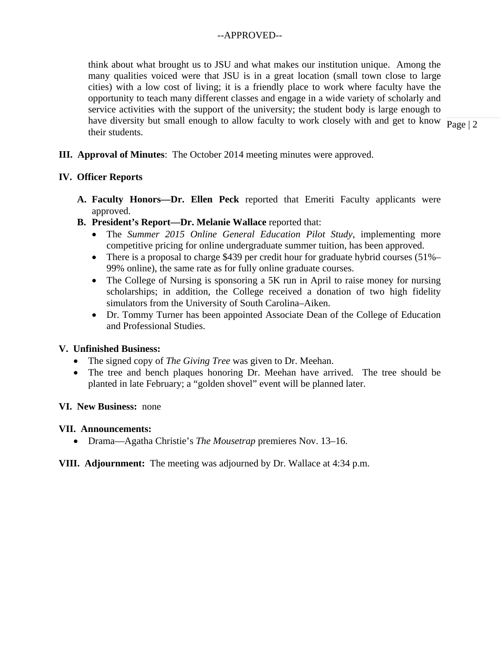have diversity but small enough to allow faculty to work closely with and get to know  $\frac{1}{\text{Page } 2}$ think about what brought us to JSU and what makes our institution unique. Among the many qualities voiced were that JSU is in a great location (small town close to large cities) with a low cost of living; it is a friendly place to work where faculty have the opportunity to teach many different classes and engage in a wide variety of scholarly and service activities with the support of the university; the student body is large enough to their students.

**III. Approval of Minutes**: The October 2014 meeting minutes were approved.

## **IV. Officer Reports**

- **A. Faculty Honors—Dr. Ellen Peck** reported that Emeriti Faculty applicants were approved.
- **B. President's Report—Dr. Melanie Wallace** reported that:
	- The *Summer 2015 Online General Education Pilot Study*, implementing more competitive pricing for online undergraduate summer tuition, has been approved.
	- There is a proposal to charge \$439 per credit hour for graduate hybrid courses (51%– 99% online), the same rate as for fully online graduate courses.
	- The College of Nursing is sponsoring a 5K run in April to raise money for nursing scholarships; in addition, the College received a donation of two high fidelity simulators from the University of South Carolina–Aiken.
	- Dr. Tommy Turner has been appointed Associate Dean of the College of Education and Professional Studies.

## **V. Unfinished Business:**

- The signed copy of *The Giving Tree* was given to Dr. Meehan.
- The tree and bench plaques honoring Dr. Meehan have arrived. The tree should be planted in late February; a "golden shovel" event will be planned later.

## **VI. New Business:** none

## **VII. Announcements:**

Drama—Agatha Christie's *The Mousetrap* premieres Nov. 13–16.

## **VIII. Adjournment:** The meeting was adjourned by Dr. Wallace at 4:34 p.m.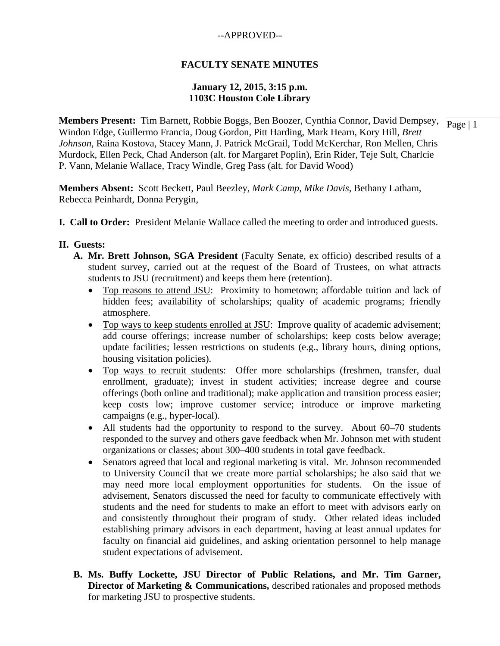## **FACULTY SENATE MINUTES**

### **January 12, 2015, 3:15 p.m. 1103C Houston Cole Library**

**Members Present:** Tim Barnett, Robbie Boggs, Ben Boozer, Cynthia Connor, David Dempsey,  $\frac{}{\text{Page} | 1}$ Windon Edge, Guillermo Francia, Doug Gordon, Pitt Harding, Mark Hearn, Kory Hill, *Brett Johnson*, Raina Kostova, Stacey Mann, J. Patrick McGrail, Todd McKerchar, Ron Mellen, Chris Murdock, Ellen Peck, Chad Anderson (alt. for Margaret Poplin), Erin Rider, Teje Sult, Charlcie P. Vann*,* Melanie Wallace, Tracy Windle, Greg Pass (alt. for David Wood)

**Members Absent:** Scott Beckett, Paul Beezley, *Mark Camp*, *Mike Davis*, Bethany Latham, Rebecca Peinhardt, Donna Perygin,

**I. Call to Order:** President Melanie Wallace called the meeting to order and introduced guests.

### **II. Guests:**

- **A. Mr. Brett Johnson, SGA President** (Faculty Senate, ex officio) described results of a student survey, carried out at the request of the Board of Trustees, on what attracts students to JSU (recruitment) and keeps them here (retention).
	- Top reasons to attend JSU: Proximity to hometown; affordable tuition and lack of hidden fees; availability of scholarships; quality of academic programs; friendly atmosphere.
	- Top ways to keep students enrolled at JSU: Improve quality of academic advisement; add course offerings; increase number of scholarships; keep costs below average; update facilities; lessen restrictions on students (e.g., library hours, dining options, housing visitation policies).
	- Top ways to recruit students: Offer more scholarships (freshmen, transfer, dual enrollment, graduate); invest in student activities; increase degree and course offerings (both online and traditional); make application and transition process easier; keep costs low; improve customer service; introduce or improve marketing campaigns (e.g., hyper-local).
	- All students had the opportunity to respond to the survey. About 60–70 students responded to the survey and others gave feedback when Mr. Johnson met with student organizations or classes; about 300–400 students in total gave feedback.
	- Senators agreed that local and regional marketing is vital. Mr. Johnson recommended to University Council that we create more partial scholarships; he also said that we may need more local employment opportunities for students. On the issue of advisement, Senators discussed the need for faculty to communicate effectively with students and the need for students to make an effort to meet with advisors early on and consistently throughout their program of study. Other related ideas included establishing primary advisors in each department, having at least annual updates for faculty on financial aid guidelines, and asking orientation personnel to help manage student expectations of advisement.
- **B. Ms. Buffy Lockette, JSU Director of Public Relations, and Mr. Tim Garner, Director of Marketing & Communications, described rationales and proposed methods** for marketing JSU to prospective students.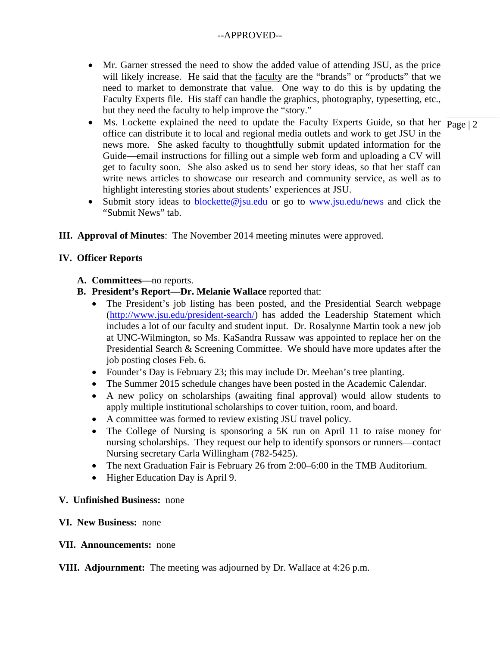- Mr. Garner stressed the need to show the added value of attending JSU, as the price will likely increase. He said that the faculty are the "brands" or "products" that we need to market to demonstrate that value. One way to do this is by updating the Faculty Experts file. His staff can handle the graphics, photography, typesetting, etc., but they need the faculty to help improve the "story."
- Ms. Lockette explained the need to update the Faculty Experts Guide, so that her  $\frac{1}{\text{Page } 2}$ office can distribute it to local and regional media outlets and work to get JSU in the news more. She asked faculty to thoughtfully submit updated information for the Guide—email instructions for filling out a simple web form and uploading a CV will get to faculty soon. She also asked us to send her story ideas, so that her staff can write news articles to showcase our research and community service, as well as to highlight interesting stories about students' experiences at JSU.
- Submit story ideas to blockette@jsu.edu or go to www.jsu.edu/news and click the "Submit News" tab.
- **III. Approval of Minutes**: The November 2014 meeting minutes were approved.

## **IV. Officer Reports**

- **A. Committees—**no reports.
- **B. President's Report—Dr. Melanie Wallace** reported that:
	- The President's job listing has been posted, and the Presidential Search webpage (http://www.jsu.edu/president-search/) has added the Leadership Statement which includes a lot of our faculty and student input. Dr. Rosalynne Martin took a new job at UNC-Wilmington, so Ms. KaSandra Russaw was appointed to replace her on the Presidential Search & Screening Committee. We should have more updates after the job posting closes Feb. 6.
	- Founder's Day is February 23; this may include Dr. Meehan's tree planting.
	- The Summer 2015 schedule changes have been posted in the Academic Calendar.
	- A new policy on scholarships (awaiting final approval) would allow students to apply multiple institutional scholarships to cover tuition, room, and board.
	- A committee was formed to review existing JSU travel policy.
	- The College of Nursing is sponsoring a 5K run on April 11 to raise money for nursing scholarships. They request our help to identify sponsors or runners—contact Nursing secretary Carla Willingham (782-5425).
	- The next Graduation Fair is February 26 from 2:00–6:00 in the TMB Auditorium.
	- Higher Education Day is April 9.

## **V. Unfinished Business:** none

### **VI. New Business:** none

### **VII. Announcements:** none

## **VIII. Adjournment:** The meeting was adjourned by Dr. Wallace at 4:26 p.m.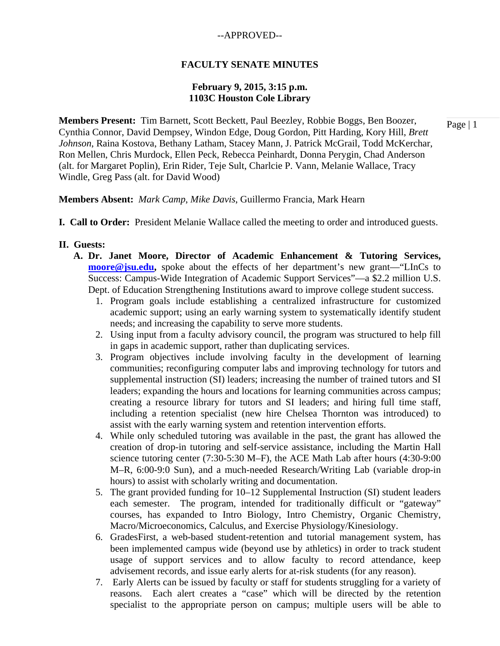### **FACULTY SENATE MINUTES**

### **February 9, 2015, 3:15 p.m. 1103C Houston Cole Library**

**Members Present:** Tim Barnett, Scott Beckett, Paul Beezley, Robbie Boggs, Ben Boozer, Cynthia Connor, David Dempsey, Windon Edge, Doug Gordon, Pitt Harding, Kory Hill, *Brett Johnson*, Raina Kostova, Bethany Latham, Stacey Mann, J. Patrick McGrail, Todd McKerchar, Ron Mellen, Chris Murdock, Ellen Peck, Rebecca Peinhardt, Donna Perygin, Chad Anderson (alt. for Margaret Poplin), Erin Rider, Teje Sult, Charlcie P. Vann*,* Melanie Wallace, Tracy Windle, Greg Pass (alt. for David Wood)

**Members Absent:** *Mark Camp*, *Mike Davis*, Guillermo Francia, Mark Hearn

**I. Call to Order:** President Melanie Wallace called the meeting to order and introduced guests.

#### **II. Guests:**

- **A. Dr. Janet Moore, Director of Academic Enhancement & Tutoring Services, moore@jsu.edu,** spoke about the effects of her department's new grant—"LInCs to Success: Campus-Wide Integration of Academic Support Services"—a \$2.2 million U.S. Dept. of Education Strengthening Institutions award to improve college student success.
	- 1. Program goals include establishing a centralized infrastructure for customized academic support; using an early warning system to systematically identify student needs; and increasing the capability to serve more students.
	- 2. Using input from a faculty advisory council, the program was structured to help fill in gaps in academic support, rather than duplicating services.
	- 3. Program objectives include involving faculty in the development of learning communities; reconfiguring computer labs and improving technology for tutors and supplemental instruction (SI) leaders; increasing the number of trained tutors and SI leaders; expanding the hours and locations for learning communities across campus; creating a resource library for tutors and SI leaders; and hiring full time staff, including a retention specialist (new hire Chelsea Thornton was introduced) to assist with the early warning system and retention intervention efforts.
	- 4. While only scheduled tutoring was available in the past, the grant has allowed the creation of drop-in tutoring and self-service assistance, including the Martin Hall science tutoring center (7:30-5:30 M–F), the ACE Math Lab after hours (4:30-9:00 M–R, 6:00-9:0 Sun), and a much-needed Research/Writing Lab (variable drop-in hours) to assist with scholarly writing and documentation.
	- 5. The grant provided funding for 10–12 Supplemental Instruction (SI) student leaders each semester. The program, intended for traditionally difficult or "gateway" courses, has expanded to Intro Biology, Intro Chemistry, Organic Chemistry, Macro/Microeconomics, Calculus, and Exercise Physiology/Kinesiology.
	- 6. GradesFirst, a web-based student-retention and tutorial management system, has been implemented campus wide (beyond use by athletics) in order to track student usage of support services and to allow faculty to record attendance, keep advisement records, and issue early alerts for at-risk students (for any reason).
	- 7. Early Alerts can be issued by faculty or staff for students struggling for a variety of reasons. Each alert creates a "case" which will be directed by the retention specialist to the appropriate person on campus; multiple users will be able to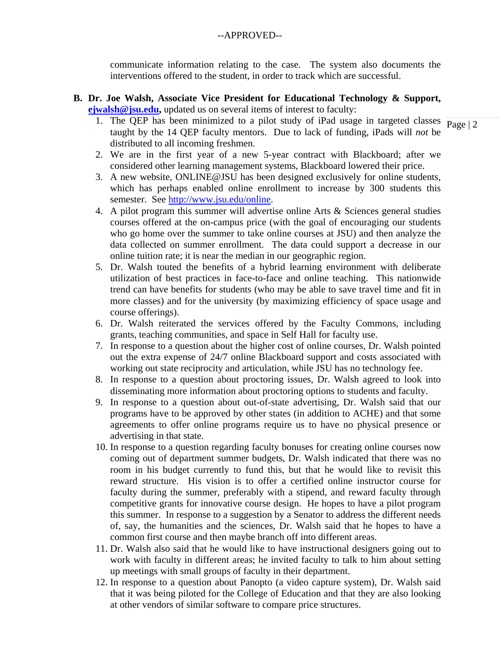communicate information relating to the case. The system also documents the interventions offered to the student, in order to track which are successful.

### **B. Dr. Joe Walsh, Associate Vice President for Educational Technology & Support, ejwalsh@jsu.edu,** updated us on several items of interest to faculty:

- 1. The QEP has been minimized to a pilot study of iPad usage in targeted classes  $\frac{1}{\text{Page }|2}$ taught by the 14 QEP faculty mentors. Due to lack of funding, iPads will *not* be distributed to all incoming freshmen.
- 2. We are in the first year of a new 5-year contract with Blackboard; after we considered other learning management systems, Blackboard lowered their price.
- 3. A new website, ONLINE@JSU has been designed exclusively for online students, which has perhaps enabled online enrollment to increase by 300 students this semester. See http://www.jsu.edu/online.
- 4. A pilot program this summer will advertise online Arts & Sciences general studies courses offered at the on-campus price (with the goal of encouraging our students who go home over the summer to take online courses at JSU) and then analyze the data collected on summer enrollment. The data could support a decrease in our online tuition rate; it is near the median in our geographic region.
- 5. Dr. Walsh touted the benefits of a hybrid learning environment with deliberate utilization of best practices in face-to-face and online teaching. This nationwide trend can have benefits for students (who may be able to save travel time and fit in more classes) and for the university (by maximizing efficiency of space usage and course offerings).
- 6. Dr. Walsh reiterated the services offered by the Faculty Commons, including grants, teaching communities, and space in Self Hall for faculty use.
- 7. In response to a question about the higher cost of online courses, Dr. Walsh pointed out the extra expense of 24/7 online Blackboard support and costs associated with working out state reciprocity and articulation, while JSU has no technology fee.
- 8. In response to a question about proctoring issues, Dr. Walsh agreed to look into disseminating more information about proctoring options to students and faculty.
- 9. In response to a question about out-of-state advertising, Dr. Walsh said that our programs have to be approved by other states (in addition to ACHE) and that some agreements to offer online programs require us to have no physical presence or advertising in that state.
- 10. In response to a question regarding faculty bonuses for creating online courses now coming out of department summer budgets, Dr. Walsh indicated that there was no room in his budget currently to fund this, but that he would like to revisit this reward structure. His vision is to offer a certified online instructor course for faculty during the summer, preferably with a stipend, and reward faculty through competitive grants for innovative course design. He hopes to have a pilot program this summer. In response to a suggestion by a Senator to address the different needs of, say, the humanities and the sciences, Dr. Walsh said that he hopes to have a common first course and then maybe branch off into different areas.
- 11. Dr. Walsh also said that he would like to have instructional designers going out to work with faculty in different areas; he invited faculty to talk to him about setting up meetings with small groups of faculty in their department.
- 12. In response to a question about Panopto (a video capture system), Dr. Walsh said that it was being piloted for the College of Education and that they are also looking at other vendors of similar software to compare price structures.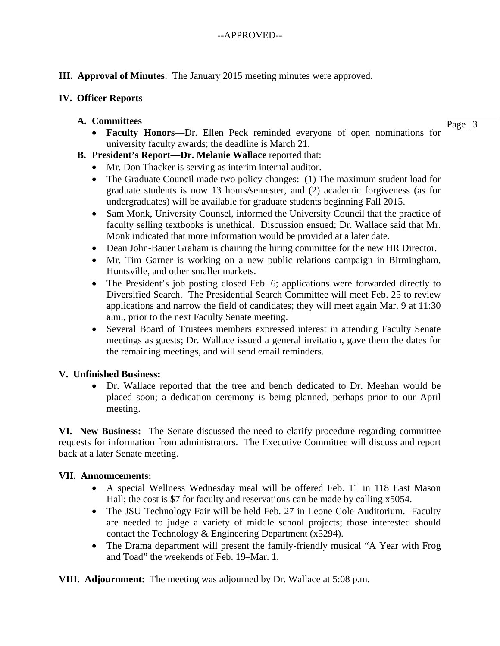## **III. Approval of Minutes**: The January 2015 meeting minutes were approved.

### **IV. Officer Reports**

### **A. Committees**

Page | 3

- **Faculty Honors**—Dr. Ellen Peck reminded everyone of open nominations for university faculty awards; the deadline is March 21.
- **B. President's Report—Dr. Melanie Wallace** reported that:
	- Mr. Don Thacker is serving as interim internal auditor.
	- The Graduate Council made two policy changes: (1) The maximum student load for graduate students is now 13 hours/semester, and (2) academic forgiveness (as for undergraduates) will be available for graduate students beginning Fall 2015.
	- Sam Monk, University Counsel, informed the University Council that the practice of faculty selling textbooks is unethical. Discussion ensued; Dr. Wallace said that Mr. Monk indicated that more information would be provided at a later date.
	- Dean John-Bauer Graham is chairing the hiring committee for the new HR Director.
	- Mr. Tim Garner is working on a new public relations campaign in Birmingham, Huntsville, and other smaller markets.
	- The President's job posting closed Feb. 6; applications were forwarded directly to Diversified Search. The Presidential Search Committee will meet Feb. 25 to review applications and narrow the field of candidates; they will meet again Mar. 9 at 11:30 a.m., prior to the next Faculty Senate meeting.
	- Several Board of Trustees members expressed interest in attending Faculty Senate meetings as guests; Dr. Wallace issued a general invitation, gave them the dates for the remaining meetings, and will send email reminders.

## **V. Unfinished Business:**

 Dr. Wallace reported that the tree and bench dedicated to Dr. Meehan would be placed soon; a dedication ceremony is being planned, perhaps prior to our April meeting.

**VI. New Business:** The Senate discussed the need to clarify procedure regarding committee requests for information from administrators. The Executive Committee will discuss and report back at a later Senate meeting.

## **VII. Announcements:**

- A special Wellness Wednesday meal will be offered Feb. 11 in 118 East Mason Hall; the cost is \$7 for faculty and reservations can be made by calling x5054.
- The JSU Technology Fair will be held Feb. 27 in Leone Cole Auditorium. Faculty are needed to judge a variety of middle school projects; those interested should contact the Technology & Engineering Department (x5294).
- The Drama department will present the family-friendly musical "A Year with Frog and Toad" the weekends of Feb. 19–Mar. 1.

**VIII. Adjournment:** The meeting was adjourned by Dr. Wallace at 5:08 p.m.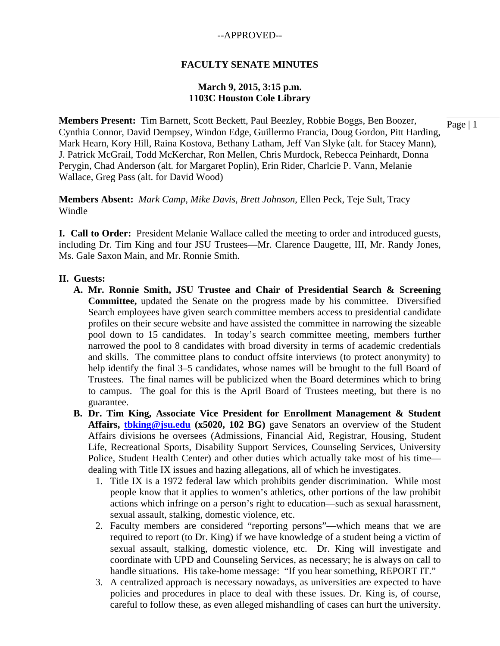### **FACULTY SENATE MINUTES**

### **March 9, 2015, 3:15 p.m. 1103C Houston Cole Library**

**Members Present:** Tim Barnett, Scott Beckett, Paul Beezley, Robbie Boggs, Ben Boozer, Cynthia Connor, David Dempsey, Windon Edge, Guillermo Francia, Doug Gordon, Pitt Harding, Mark Hearn, Kory Hill, Raina Kostova, Bethany Latham, Jeff Van Slyke (alt. for Stacey Mann), J. Patrick McGrail, Todd McKerchar, Ron Mellen, Chris Murdock, Rebecca Peinhardt, Donna Perygin, Chad Anderson (alt. for Margaret Poplin), Erin Rider, Charlcie P. Vann*,* Melanie Wallace, Greg Pass (alt. for David Wood)

**Members Absent:** *Mark Camp*, *Mike Davis*, *Brett Johnson*, Ellen Peck, Teje Sult, Tracy Windle

**I. Call to Order:** President Melanie Wallace called the meeting to order and introduced guests, including Dr. Tim King and four JSU Trustees—Mr. Clarence Daugette, III, Mr. Randy Jones, Ms. Gale Saxon Main, and Mr. Ronnie Smith.

#### **II. Guests:**

- **A. Mr. Ronnie Smith, JSU Trustee and Chair of Presidential Search & Screening Committee,** updated the Senate on the progress made by his committee. Diversified Search employees have given search committee members access to presidential candidate profiles on their secure website and have assisted the committee in narrowing the sizeable pool down to 15 candidates. In today's search committee meeting, members further narrowed the pool to 8 candidates with broad diversity in terms of academic credentials and skills. The committee plans to conduct offsite interviews (to protect anonymity) to help identify the final 3–5 candidates, whose names will be brought to the full Board of Trustees. The final names will be publicized when the Board determines which to bring to campus. The goal for this is the April Board of Trustees meeting, but there is no guarantee.
- **B. Dr. Tim King, Associate Vice President for Enrollment Management & Student Affairs, tbking@jsu.edu (x5020, 102 BG)** gave Senators an overview of the Student Affairs divisions he oversees (Admissions, Financial Aid, Registrar, Housing, Student Life, Recreational Sports, Disability Support Services, Counseling Services, University Police, Student Health Center) and other duties which actually take most of his time dealing with Title IX issues and hazing allegations, all of which he investigates.
	- 1. Title IX is a 1972 federal law which prohibits gender discrimination. While most people know that it applies to women's athletics, other portions of the law prohibit actions which infringe on a person's right to education—such as sexual harassment, sexual assault, stalking, domestic violence, etc.
	- 2. Faculty members are considered "reporting persons"—which means that we are required to report (to Dr. King) if we have knowledge of a student being a victim of sexual assault, stalking, domestic violence, etc. Dr. King will investigate and coordinate with UPD and Counseling Services, as necessary; he is always on call to handle situations. His take-home message: "If you hear something, REPORT IT."
	- 3. A centralized approach is necessary nowadays, as universities are expected to have policies and procedures in place to deal with these issues. Dr. King is, of course, careful to follow these, as even alleged mishandling of cases can hurt the university.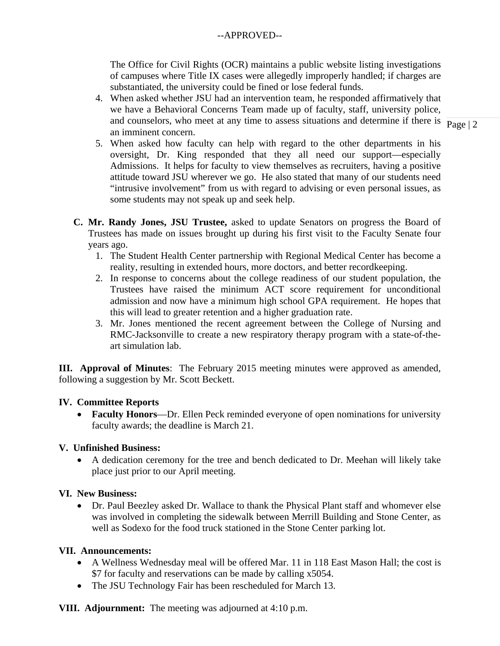The Office for Civil Rights (OCR) maintains a public website listing investigations of campuses where Title IX cases were allegedly improperly handled; if charges are substantiated, the university could be fined or lose federal funds.

and counselors, who meet at any time to assess situations and determine if there is  $\frac{1}{\text{Page } 2}$ 4. When asked whether JSU had an intervention team, he responded affirmatively that we have a Behavioral Concerns Team made up of faculty, staff, university police, an imminent concern.

- 5. When asked how faculty can help with regard to the other departments in his oversight, Dr. King responded that they all need our support—especially Admissions. It helps for faculty to view themselves as recruiters, having a positive attitude toward JSU wherever we go. He also stated that many of our students need "intrusive involvement" from us with regard to advising or even personal issues, as some students may not speak up and seek help.
- **C. Mr. Randy Jones, JSU Trustee,** asked to update Senators on progress the Board of Trustees has made on issues brought up during his first visit to the Faculty Senate four years ago.
	- 1. The Student Health Center partnership with Regional Medical Center has become a reality, resulting in extended hours, more doctors, and better recordkeeping.
	- 2. In response to concerns about the college readiness of our student population, the Trustees have raised the minimum ACT score requirement for unconditional admission and now have a minimum high school GPA requirement. He hopes that this will lead to greater retention and a higher graduation rate.
	- 3. Mr. Jones mentioned the recent agreement between the College of Nursing and RMC-Jacksonville to create a new respiratory therapy program with a state-of-theart simulation lab.

**III. Approval of Minutes**: The February 2015 meeting minutes were approved as amended, following a suggestion by Mr. Scott Beckett.

## **IV. Committee Reports**

 **Faculty Honors**—Dr. Ellen Peck reminded everyone of open nominations for university faculty awards; the deadline is March 21.

## **V. Unfinished Business:**

 A dedication ceremony for the tree and bench dedicated to Dr. Meehan will likely take place just prior to our April meeting.

## **VI. New Business:**

 Dr. Paul Beezley asked Dr. Wallace to thank the Physical Plant staff and whomever else was involved in completing the sidewalk between Merrill Building and Stone Center, as well as Sodexo for the food truck stationed in the Stone Center parking lot.

## **VII. Announcements:**

- A Wellness Wednesday meal will be offered Mar. 11 in 118 East Mason Hall; the cost is \$7 for faculty and reservations can be made by calling x5054.
- The JSU Technology Fair has been rescheduled for March 13.

**VIII. Adjournment:** The meeting was adjourned at 4:10 p.m.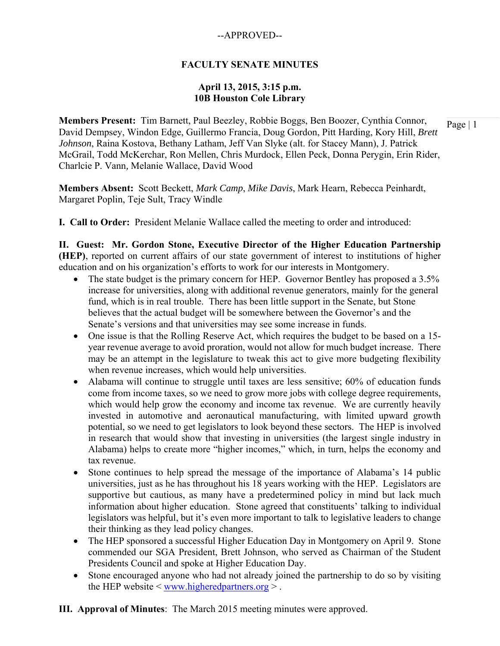## **FACULTY SENATE MINUTES**

### **April 13, 2015, 3:15 p.m. 10B Houston Cole Library**

**Members Present:** Tim Barnett, Paul Beezley, Robbie Boggs, Ben Boozer, Cynthia Connor, David Dempsey, Windon Edge, Guillermo Francia, Doug Gordon, Pitt Harding, Kory Hill, *Brett Johnson*, Raina Kostova, Bethany Latham, Jeff Van Slyke (alt. for Stacey Mann), J. Patrick McGrail, Todd McKerchar, Ron Mellen, Chris Murdock, Ellen Peck, Donna Perygin, Erin Rider, Charlcie P. Vann*,* Melanie Wallace, David Wood

**Members Absent:** Scott Beckett, *Mark Camp*, *Mike Davis*, Mark Hearn, Rebecca Peinhardt, Margaret Poplin, Teje Sult, Tracy Windle

**I. Call to Order:** President Melanie Wallace called the meeting to order and introduced:

**II. Guest: Mr. Gordon Stone, Executive Director of the Higher Education Partnership (HEP)**, reported on current affairs of our state government of interest to institutions of higher education and on his organization's efforts to work for our interests in Montgomery.

- The state budget is the primary concern for HEP. Governor Bentley has proposed a 3.5% increase for universities, along with additional revenue generators, mainly for the general fund, which is in real trouble. There has been little support in the Senate, but Stone believes that the actual budget will be somewhere between the Governor's and the Senate's versions and that universities may see some increase in funds.
- One issue is that the Rolling Reserve Act, which requires the budget to be based on a 15 year revenue average to avoid proration, would not allow for much budget increase. There may be an attempt in the legislature to tweak this act to give more budgeting flexibility when revenue increases, which would help universities.
- Alabama will continue to struggle until taxes are less sensitive; 60% of education funds come from income taxes, so we need to grow more jobs with college degree requirements, which would help grow the economy and income tax revenue. We are currently heavily invested in automotive and aeronautical manufacturing, with limited upward growth potential, so we need to get legislators to look beyond these sectors. The HEP is involved in research that would show that investing in universities (the largest single industry in Alabama) helps to create more "higher incomes," which, in turn, helps the economy and tax revenue.
- Stone continues to help spread the message of the importance of Alabama's 14 public universities, just as he has throughout his 18 years working with the HEP. Legislators are supportive but cautious, as many have a predetermined policy in mind but lack much information about higher education. Stone agreed that constituents' talking to individual legislators was helpful, but it's even more important to talk to legislative leaders to change their thinking as they lead policy changes.
- The HEP sponsored a successful Higher Education Day in Montgomery on April 9. Stone commended our SGA President, Brett Johnson, who served as Chairman of the Student Presidents Council and spoke at Higher Education Day.
- Stone encouraged anyone who had not already joined the partnership to do so by visiting the HEP website  $\leq$  www.higheredpartners.org  $\geq$ .
- **III. Approval of Minutes**: The March 2015 meeting minutes were approved.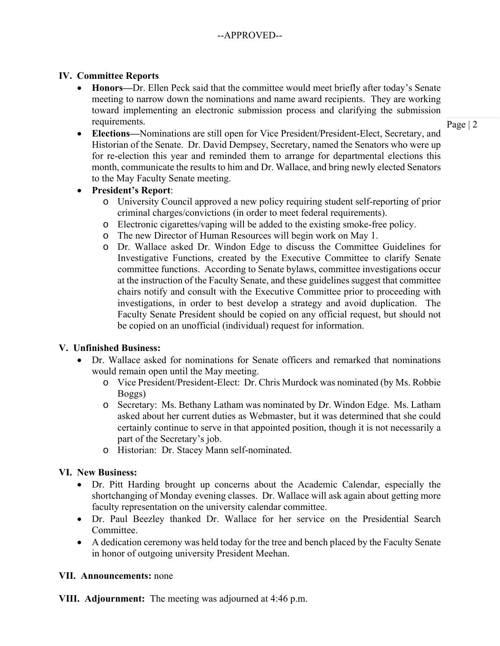## **IV. Committee Reports**

 **Honors—**Dr. Ellen Peck said that the committee would meet briefly after today's Senate meeting to narrow down the nominations and name award recipients. They are working toward implementing an electronic submission process and clarifying the submission requirements.

Page | 2

- **Elections—**Nominations are still open for Vice President/President-Elect, Secretary, and Historian of the Senate. Dr. David Dempsey, Secretary, named the Senators who were up for re-election this year and reminded them to arrange for departmental elections this month, communicate the results to him and Dr. Wallace, and bring newly elected Senators to the May Faculty Senate meeting.
- **President's Report**:
	- o University Council approved a new policy requiring student self-reporting of prior criminal charges/convictions (in order to meet federal requirements).
	- o Electronic cigarettes/vaping will be added to the existing smoke-free policy.
	- o The new Director of Human Resources will begin work on May 1.
	- o Dr. Wallace asked Dr. Windon Edge to discuss the Committee Guidelines for Investigative Functions, created by the Executive Committee to clarify Senate committee functions. According to Senate bylaws, committee investigations occur at the instruction of the Faculty Senate, and these guidelines suggest that committee chairs notify and consult with the Executive Committee prior to proceeding with investigations, in order to best develop a strategy and avoid duplication. The Faculty Senate President should be copied on any official request, but should not be copied on an unofficial (individual) request for information.

# **V. Unfinished Business:**

- Dr. Wallace asked for nominations for Senate officers and remarked that nominations would remain open until the May meeting.
	- o Vice President/President-Elect: Dr. Chris Murdock was nominated (by Ms. Robbie Boggs)
	- o Secretary: Ms. Bethany Latham was nominated by Dr. Windon Edge. Ms. Latham asked about her current duties as Webmaster, but it was determined that she could certainly continue to serve in that appointed position, though it is not necessarily a part of the Secretary's job.
	- o Historian: Dr. Stacey Mann self-nominated.

# **VI. New Business:**

- Dr. Pitt Harding brought up concerns about the Academic Calendar, especially the shortchanging of Monday evening classes. Dr. Wallace will ask again about getting more faculty representation on the university calendar committee.
- Dr. Paul Beezley thanked Dr. Wallace for her service on the Presidential Search Committee.
- A dedication ceremony was held today for the tree and bench placed by the Faculty Senate in honor of outgoing university President Meehan.

## **VII. Announcements:** none

**VIII. Adjournment:** The meeting was adjourned at 4:46 p.m.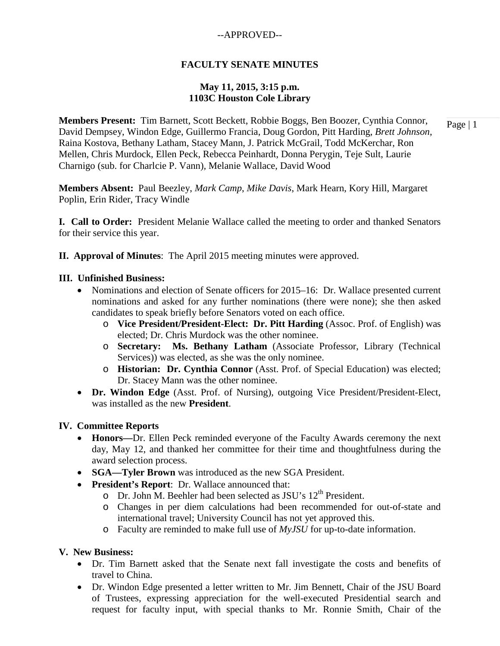## **FACULTY SENATE MINUTES**

## **May 11, 2015, 3:15 p.m. 1103C Houston Cole Library**

**Members Present:** Tim Barnett, Scott Beckett, Robbie Boggs, Ben Boozer, Cynthia Connor, David Dempsey, Windon Edge, Guillermo Francia, Doug Gordon, Pitt Harding, *Brett Johnson*, Raina Kostova, Bethany Latham, Stacey Mann, J. Patrick McGrail, Todd McKerchar, Ron Mellen, Chris Murdock, Ellen Peck, Rebecca Peinhardt, Donna Perygin, Teje Sult, Laurie Charnigo (sub. for Charlcie P. Vann)*,* Melanie Wallace, David Wood

**Members Absent:** Paul Beezley, *Mark Camp*, *Mike Davis*, Mark Hearn, Kory Hill, Margaret Poplin, Erin Rider, Tracy Windle

**I. Call to Order:** President Melanie Wallace called the meeting to order and thanked Senators for their service this year.

**II. Approval of Minutes**: The April 2015 meeting minutes were approved.

### **III. Unfinished Business:**

- Nominations and election of Senate officers for 2015–16: Dr. Wallace presented current nominations and asked for any further nominations (there were none); she then asked candidates to speak briefly before Senators voted on each office.
	- o **Vice President/President-Elect: Dr. Pitt Harding** (Assoc. Prof. of English) was elected; Dr. Chris Murdock was the other nominee.
	- o **Secretary: Ms. Bethany Latham** (Associate Professor, Library (Technical Services)) was elected, as she was the only nominee.
	- o **Historian: Dr. Cynthia Connor** (Asst. Prof. of Special Education) was elected; Dr. Stacey Mann was the other nominee.
- **Dr. Windon Edge** (Asst. Prof. of Nursing), outgoing Vice President/President-Elect, was installed as the new **President**.

### **IV. Committee Reports**

- **Honors—**Dr. Ellen Peck reminded everyone of the Faculty Awards ceremony the next day, May 12, and thanked her committee for their time and thoughtfulness during the award selection process.
- **SGA—Tyler Brown** was introduced as the new SGA President.
- **President's Report**: Dr. Wallace announced that:
	- $\Omega$  Dr. John M. Beehler had been selected as JSU's 12<sup>th</sup> President.
	- o Changes in per diem calculations had been recommended for out-of-state and international travel; University Council has not yet approved this.
	- o Faculty are reminded to make full use of *MyJSU* for up-to-date information.

### **V. New Business:**

- Dr. Tim Barnett asked that the Senate next fall investigate the costs and benefits of travel to China.
- Dr. Windon Edge presented a letter written to Mr. Jim Bennett, Chair of the JSU Board of Trustees, expressing appreciation for the well-executed Presidential search and request for faculty input, with special thanks to Mr. Ronnie Smith, Chair of the